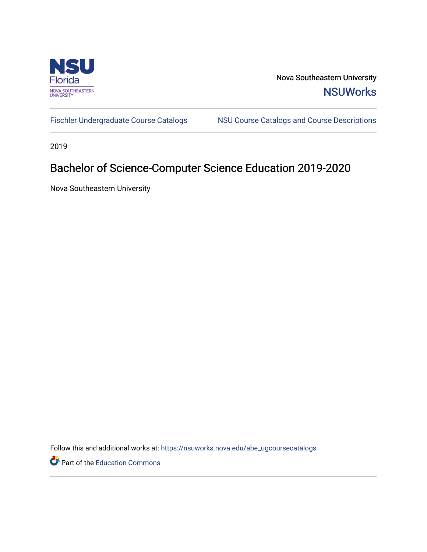

Nova Southeastern University **NSUWorks** 

[Fischler Undergraduate Course Catalogs](https://nsuworks.nova.edu/abe_ugcoursecatalogs) MSU Course Catalogs and Course Descriptions

2019

## Bachelor of Science-Computer Science Education 2019-2020

Nova Southeastern University

Follow this and additional works at: [https://nsuworks.nova.edu/abe\\_ugcoursecatalogs](https://nsuworks.nova.edu/abe_ugcoursecatalogs?utm_source=nsuworks.nova.edu%2Fabe_ugcoursecatalogs%2F35&utm_medium=PDF&utm_campaign=PDFCoverPages) 

Part of the [Education Commons](http://network.bepress.com/hgg/discipline/784?utm_source=nsuworks.nova.edu%2Fabe_ugcoursecatalogs%2F35&utm_medium=PDF&utm_campaign=PDFCoverPages)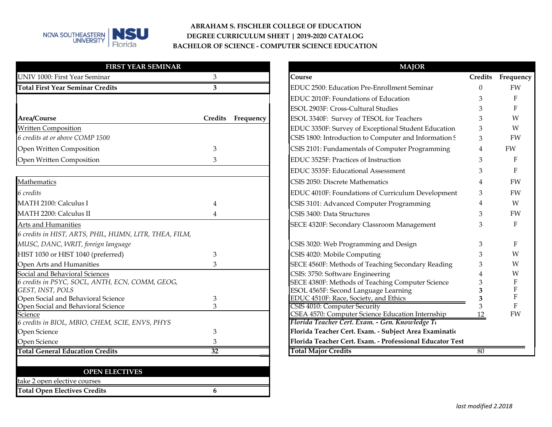

## **ABRAHAM S. FISCHLER COLLEGE OF EDUCATION DEGREE CURRICULUM SHEET | 2019-2020 CATALOG BACHELOR OF SCIENCE - COMPUTER SCIENCE EDUCATION**

| <b>FIRST YEAR SEMINAR</b>                              |                   | <b>MAJOR</b>                                                                  |                |
|--------------------------------------------------------|-------------------|-------------------------------------------------------------------------------|----------------|
| UNIV 1000: First Year Seminar                          | 3                 | Course                                                                        | Cred           |
| <b>Total First Year Seminar Credits</b>                | 3                 | EDUC 2500: Education Pre-Enrollment Seminar                                   | $\Omega$       |
|                                                        |                   | EDUC 2010F: Foundations of Education                                          |                |
|                                                        |                   | ESOL 2903F: Cross-Cultural Studies                                            |                |
| Area/Course                                            | Credits Frequency | ESOL 3340F: Survey of TESOL for Teachers                                      | 3              |
| <b>Written Composition</b>                             |                   | EDUC 3350F: Survey of Exceptional Student Education                           | 3              |
| 6 credits at or above COMP 1500                        |                   | CSIS 1800: Introduction to Computer and Information 9                         | $\mathfrak{Z}$ |
| Open Written Composition                               | 3                 | CSIS 2101: Fundamentals of Computer Programming                               | $\overline{4}$ |
| Open Written Composition                               | 3                 | EDUC 3525F: Practices of Instruction                                          | 3              |
|                                                        |                   | EDUC 3535F: Educational Assessment                                            |                |
| Mathematics                                            |                   | CSIS 2050: Discrete Mathematics                                               |                |
| 6 credits                                              |                   | EDUC 4010F: Foundations of Curriculum Development                             | 3              |
| MATH 2100: Calculus I                                  | $\overline{4}$    | CSIS 3101: Advanced Computer Programming                                      |                |
| MATH 2200: Calculus II                                 | $\overline{4}$    | CSIS 3400: Data Structures                                                    |                |
| Arts and Humanities                                    |                   | SECE 4320F: Secondary Classroom Management                                    |                |
| 6 credits in HIST, ARTS, PHIL, HUMN, LITR, THEA, FILM, |                   |                                                                               |                |
| MUSC, DANC, WRIT, foreign language                     |                   | CSIS 3020: Web Programming and Design                                         |                |
| HIST 1030 or HIST 1040 (preferred)                     | 3                 | CSIS 4020: Mobile Computing                                                   |                |
| Open Arts and Humanities                               | 3                 | SECE 4560F: Methods of Teaching Secondary Reading                             |                |
| Social and Behavioral Sciences                         |                   | CSIS: 3750: Software Engineering                                              |                |
| 6 credits in PSYC, SOCL, ANTH, ECN, COMM, GEOG,        |                   | SECE 4380F: Methods of Teaching Computer Science                              |                |
| GEST, INST, POLS<br>Open Social and Behavioral Science | 3                 | ESOL 4565F: Second Language Learning<br>EDUC 4510F: Race, Society, and Ethics |                |
| Open Social and Behavioral Science                     | 3                 | <b>CSIS 4010: Computer Security</b>                                           |                |
| Science                                                |                   | CSEA 4570: Computer Science Education Internship                              | 12             |
| 6 credits in BIOL, MBIO, CHEM, SCIE, ENVS, PHYS        |                   | Florida Teacher Cert. Exam. - Gen. Knowledge Te                               |                |
| Open Science                                           | 3                 | Florida Teacher Cert. Exam. - Subject Area Examinatio                         |                |
| Open Science                                           | 3                 | Florida Teacher Cert. Exam. - Professional Educator Test                      |                |
| <b>Total General Education Credits</b>                 | 32                | <b>Total Major Credits</b>                                                    | 80             |

|                    | <b>MAJOR</b>                                                                                        |          |                   |
|--------------------|-----------------------------------------------------------------------------------------------------|----------|-------------------|
| 3                  | Course                                                                                              | Credits  | Frequency         |
| 3                  | <b>EDUC 2500: Education Pre-Enrollment Seminar</b>                                                  | $\Omega$ | FW                |
|                    | EDUC 2010F: Foundations of Education                                                                | 3        | F                 |
|                    | <b>ESOL 2903F: Cross-Cultural Studies</b>                                                           | 3        | F                 |
| dits:<br>Frequency | ESOL 3340F: Survey of TESOL for Teachers                                                            | 3        | W                 |
|                    | EDUC 3350F: Survey of Exceptional Student Education                                                 | 3        | W                 |
|                    | CSIS 1800: Introduction to Computer and Information 9                                               | 3        | FW                |
| 3                  | CSIS 2101: Fundamentals of Computer Programming                                                     | 4        | FW                |
| 3                  | EDUC 3525F: Practices of Instruction                                                                | 3        | F                 |
|                    | EDUC 3535F: Educational Assessment                                                                  | 3        | F                 |
|                    | CSIS 2050: Discrete Mathematics                                                                     | 4        | FW                |
|                    | EDUC 4010F: Foundations of Curriculum Development                                                   | 3        | FW                |
|                    | CSIS 3101: Advanced Computer Programming                                                            | 4        | W                 |
| 4                  | CSIS 3400: Data Structures                                                                          | 3        | FW                |
|                    | SECE 4320F: Secondary Classroom Management                                                          | 3        | F                 |
|                    | CSIS 3020: Web Programming and Design                                                               | 3        | F                 |
| 3                  | CSIS 4020: Mobile Computing                                                                         | 3        | W                 |
| 3                  | SECE 4560F: Methods of Teaching Secondary Reading                                                   | 3        | W                 |
|                    | CSIS: 3750: Software Engineering                                                                    | 4        | W                 |
|                    | SECE 4380F: Methods of Teaching Computer Science                                                    | 3        | $\mathbf{F}$      |
|                    | ESOL 4565F: Second Language Learning                                                                | 3        | F<br>$\mathbf{F}$ |
| 3                  | <b>EDUC 4510F: Race, Society, and Ethics</b>                                                        | 3        |                   |
|                    | <b>CSIS 4010: Computer Security</b>                                                                 | 3        | F<br>FW           |
|                    | CSEA 4570: Computer Science Education Internship<br>Florida Teacher Cert. Exam. - Gen. Knowledge Tı | 12       |                   |
| 3                  | Florida Teacher Cert. Exam. - Subject Area Examinatio                                               |          |                   |
| 3                  | Florida Teacher Cert. Exam. - Professional Educator Test                                            |          |                   |
| $\overline{32}$    | <b>Total Major Credits</b>                                                                          | 80       |                   |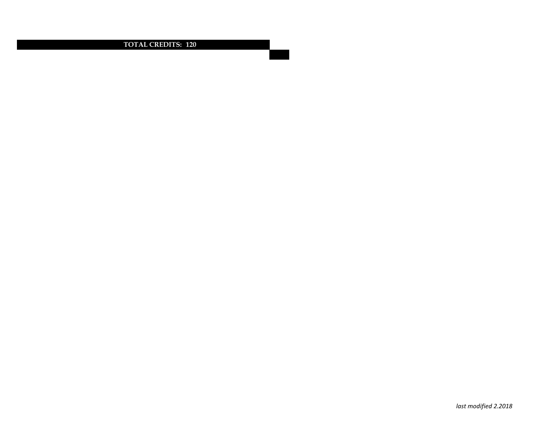**TOTAL CREDITS: 120**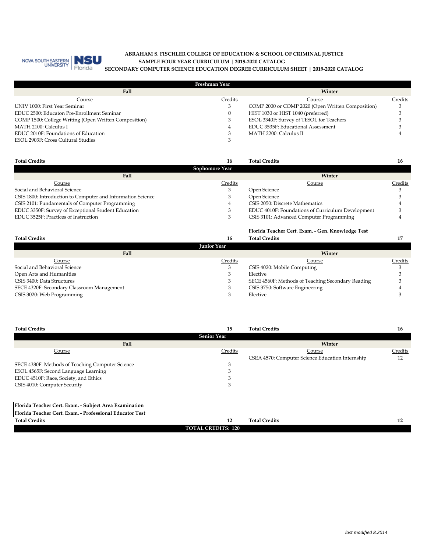

## **SAMPLE FOUR YEAR CURRICULUM | 2019-2020 CATALOG ABRAHAM S. FISCHLER COLLEGE OF EDUCATION & SCHOOL OF CRIMINAL JUSTICE SECONDARY COMPUTER SCIENCE EDUCATION DEGREE CURRICULUM SHEET | 2019-2020 CATALOG**

| Freshman Year                                         |         |                                                   |         |  |
|-------------------------------------------------------|---------|---------------------------------------------------|---------|--|
| Fall                                                  |         | Winter                                            |         |  |
| Course                                                | Credits | Course                                            | Credits |  |
| UNIV 1000: First Year Seminar                         |         | COMP 2000 or COMP 2020 (Open Written Composition) | 3       |  |
| EDUC 2500: Educaton Pre-Enrollment Seminar            |         | HIST 1030 or HIST 1040 (preferred)                |         |  |
| COMP 1500: College Writing (Open Written Composition) |         | ESOL 3340F: Survey of TESOL for Teachers          |         |  |
| MATH 2100: Calculus I                                 |         | EDUC 3535F: Educational Assessment                |         |  |
| EDUC 2010F: Foundations of Education                  |         | MATH 2200: Calculus II                            |         |  |
| ESOL 2903F: Cross Cultural Studies                    |         |                                                   |         |  |

| <b>Total Credits</b>                                        | 16             | <b>Total Credits</b>                              |         |
|-------------------------------------------------------------|----------------|---------------------------------------------------|---------|
|                                                             | Sophomore Year |                                                   |         |
| Fall                                                        |                | Winter                                            |         |
| Course                                                      | Credits        | Course                                            | Credits |
| Social and Behavioral Science                               |                | Open Science                                      |         |
| CSIS 1800: Introduction to Computer and Information Science |                | Open Science                                      |         |
| CSIS 2101: Fundamentals of Computer Programming             |                | CSIS 2050: Discrete Mathematics                   |         |
| EDUC 3350F: Survey of Exceptional Student Education         |                | EDUC 4010F: Foundations of Curriculum Development |         |
| EDUC 3525F: Practices of Instruction                        |                | CSIS 3101: Advanced Computer Programming          |         |

|                                            |                    | Florida Teacher Cert. Exam. - Gen. Knowledge Test |         |
|--------------------------------------------|--------------------|---------------------------------------------------|---------|
| <b>Total Credits</b>                       | 16                 | <b>Total Credits</b>                              |         |
|                                            | <b>Iunior Year</b> |                                                   |         |
| Fall                                       |                    | Winter                                            |         |
| Course                                     | Credits            | Course                                            | Credits |
| Social and Behavioral Science              |                    | CSIS 4020: Mobile Computing                       |         |
| Open Arts and Humanities                   |                    | Elective                                          |         |
| CSIS 3400: Data Structures                 |                    | SECE 4560F: Methods of Teaching Secondary Reading |         |
| SECE 4320F: Secondary Classroom Management |                    | CSIS 3750: Software Engineering                   |         |
| CSIS 3020: Web Programming                 |                    | Elective                                          |         |

| <b>Total Credits</b>                             | 15                 | <b>Total Credits</b>                             | 16      |
|--------------------------------------------------|--------------------|--------------------------------------------------|---------|
|                                                  | <b>Senior Year</b> |                                                  |         |
| Fall                                             |                    | Winter                                           |         |
| Course                                           | Credits            | Course                                           | Credits |
|                                                  |                    | CSEA 4570: Computer Science Education Internship | 12      |
| SECE 4380F: Methods of Teaching Computer Science |                    |                                                  |         |
| ESOL 4565F: Second Language Learning             |                    |                                                  |         |
| EDUC 4510F: Race, Society, and Ethics            |                    |                                                  |         |
| CSIS 4010: Computer Security                     |                    |                                                  |         |
|                                                  |                    |                                                  |         |

**Florida Teacher Cert. Exam. - Subject Area Examination**

**Florida Teacher Cert. Exam. - Professional Educator Test**

| <b>Total Credits</b> | -<br>--                   | $\cdots$<br>Total<br>l Credits | $\sim$<br>-- |
|----------------------|---------------------------|--------------------------------|--------------|
|                      | <b>TOTAL CREDITS: 120</b> |                                |              |